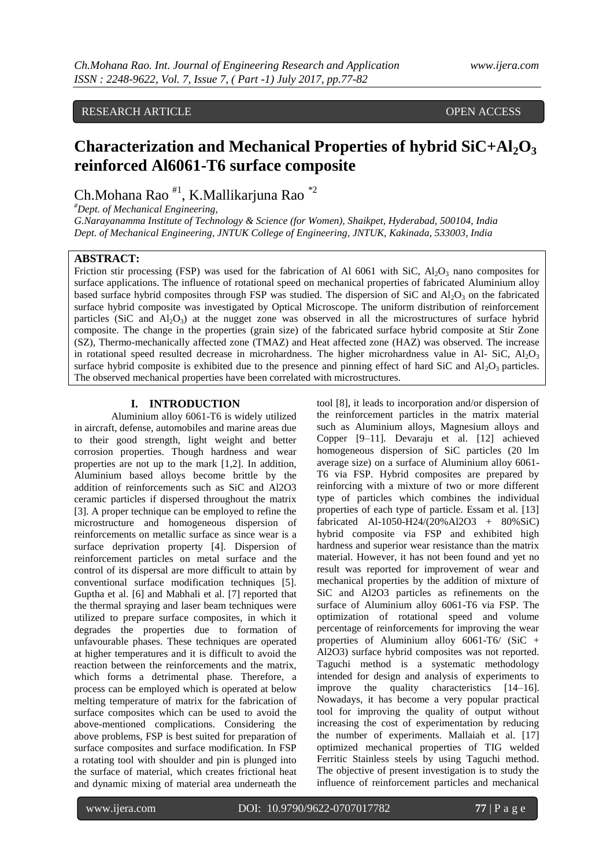# RESEARCH ARTICLE **CONSERVERS** OPEN ACCESS

# **Characterization and Mechanical Properties of hybrid SiC+Al2O<sup>3</sup> reinforced Al6061-T6 surface composite**

Ch.Mohana Rao #1, K.Mallikarjuna Rao \*2

*#Dept. of Mechanical Engineering,*

*G.Narayanamma Institute of Technology & Science (for Women), Shaikpet, Hyderabad, 500104, India Dept. of Mechanical Engineering, JNTUK College of Engineering, JNTUK, Kakinada, 533003, India*

# **ABSTRACT:**

Friction stir processing (FSP) was used for the fabrication of Al 6061 with SiC,  $Al_2O_3$  nano composites for surface applications. The influence of rotational speed on mechanical properties of fabricated Aluminium alloy based surface hybrid composites through FSP was studied. The dispersion of SiC and  $Al_2O_3$  on the fabricated surface hybrid composite was investigated by Optical Microscope. The uniform distribution of reinforcement particles (SiC and  $Al_2O_3$ ) at the nugget zone was observed in all the microstructures of surface hybrid composite. The change in the properties (grain size) of the fabricated surface hybrid composite at Stir Zone (SZ), Thermo-mechanically affected zone (TMAZ) and Heat affected zone (HAZ) was observed. The increase in rotational speed resulted decrease in microhardness. The higher microhardness value in Al- SiC,  $Al_2O_3$ surface hybrid composite is exhibited due to the presence and pinning effect of hard SiC and  $Al_2O_3$  particles. The observed mechanical properties have been correlated with microstructures.

### **I. INTRODUCTION**

Aluminium alloy 6061-T6 is widely utilized in aircraft, defense, automobiles and marine areas due to their good strength, light weight and better corrosion properties. Though hardness and wear properties are not up to the mark [1,2]. In addition, Aluminium based alloys become brittle by the addition of reinforcements such as SiC and Al2O3 ceramic particles if dispersed throughout the matrix [3]. A proper technique can be employed to refine the microstructure and homogeneous dispersion of reinforcements on metallic surface as since wear is a surface deprivation property [4]. Dispersion of reinforcement particles on metal surface and the control of its dispersal are more difficult to attain by conventional surface modification techniques [5]. Guptha et al. [6] and Mabhali et al. [7] reported that the thermal spraying and laser beam techniques were utilized to prepare surface composites, in which it degrades the properties due to formation of unfavourable phases. These techniques are operated at higher temperatures and it is difficult to avoid the reaction between the reinforcements and the matrix, which forms a detrimental phase. Therefore, a process can be employed which is operated at below melting temperature of matrix for the fabrication of surface composites which can be used to avoid the above-mentioned complications. Considering the above problems, FSP is best suited for preparation of surface composites and surface modification. In FSP a rotating tool with shoulder and pin is plunged into the surface of material, which creates frictional heat and dynamic mixing of material area underneath the

tool [8], it leads to incorporation and/or dispersion of the reinforcement particles in the matrix material such as Aluminium alloys, Magnesium alloys and Copper [9–11]. Devaraju et al. [12] achieved homogeneous dispersion of SiC particles (20 lm average size) on a surface of Aluminium alloy 6061- T6 via FSP. Hybrid composites are prepared by reinforcing with a mixture of two or more different type of particles which combines the individual properties of each type of particle. Essam et al. [13] fabricated Al-1050-H24/(20%Al2O3 + 80%SiC) hybrid composite via FSP and exhibited high hardness and superior wear resistance than the matrix material. However, it has not been found and yet no result was reported for improvement of wear and mechanical properties by the addition of mixture of SiC and Al2O3 particles as refinements on the surface of Aluminium alloy 6061-T6 via FSP. The optimization of rotational speed and volume percentage of reinforcements for improving the wear properties of Aluminium alloy 6061-T6/ (SiC + Al2O3) surface hybrid composites was not reported. Taguchi method is a systematic methodology intended for design and analysis of experiments to improve the quality characteristics [14–16]. Nowadays, it has become a very popular practical tool for improving the quality of output without increasing the cost of experimentation by reducing the number of experiments. Mallaiah et al. [17] optimized mechanical properties of TIG welded Ferritic Stainless steels by using Taguchi method. The objective of present investigation is to study the influence of reinforcement particles and mechanical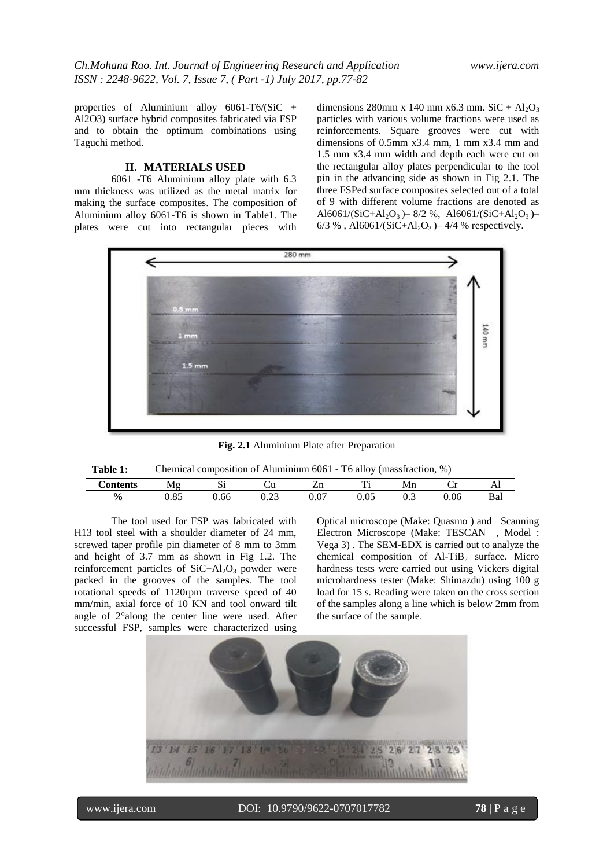properties of Aluminium alloy 6061-T6/(SiC + Al2O3) surface hybrid composites fabricated via FSP and to obtain the optimum combinations using Taguchi method.

# **II. MATERIALS USED**

6061 -T6 Aluminium alloy plate with 6.3 mm thickness was utilized as the metal matrix for making the surface composites. The composition of Aluminium alloy 6061-T6 is shown in Table1. The plates were cut into rectangular pieces with

dimensions 280mm x 140 mm x 6.3 mm. SiC + Al<sub>2</sub>O<sub>3</sub> particles with various volume fractions were used as reinforcements. Square grooves were cut with dimensions of 0.5mm x3.4 mm, 1 mm x3.4 mm and 1.5 mm x3.4 mm width and depth each were cut on the rectangular alloy plates perpendicular to the tool pin in the advancing side as shown in Fig 2.1. The three FSPed surface composites selected out of a total of 9 with different volume fractions are denoted as Al6061/(SiC+Al<sub>2</sub>O<sub>3</sub>)–8/2 %, Al6061/(SiC+Al<sub>2</sub>O<sub>3</sub>)– 6/3 % , Al6061/(SiC+Al<sub>2</sub>O<sub>3</sub>) – 4/4 % respectively.



**Fig. 2.1** Aluminium Plate after Preparation

| contents      | Mσ<br><b>****</b> | --<br>ມ | ∵u            | - 11          | m               | Mn<br>----- | ◡        | $\overline{1}$ |
|---------------|-------------------|---------|---------------|---------------|-----------------|-------------|----------|----------------|
| $\frac{0}{0}$ | OC<br>u.o.        | .00     | $\sim$<br>്.∠ | $\sim$<br>J.V | $\Omega$<br>∪∙∪ | ◡.◡         | $0.06\,$ | Dal            |

The tool used for FSP was fabricated with H13 tool steel with a shoulder diameter of 24 mm, screwed taper profile pin diameter of 8 mm to 3mm and height of 3.7 mm as shown in Fig 1.2. The reinforcement particles of  $SiC+Al<sub>2</sub>O<sub>3</sub>$  powder were packed in the grooves of the samples. The tool rotational speeds of 1120rpm traverse speed of 40 mm/min, axial force of 10 KN and tool onward tilt angle of 2°along the center line were used. After successful FSP, samples were characterized using

Optical microscope (Make: Quasmo ) and Scanning Electron Microscope (Make: TESCAN , Model : Vega 3) . The SEM-EDX is carried out to analyze the chemical composition of  $AI-TiB<sub>2</sub>$  surface. Micro hardness tests were carried out using Vickers digital microhardness tester (Make: Shimazdu) using 100 g load for 15 s. Reading were taken on the cross section of the samples along a line which is below 2mm from the surface of the sample.

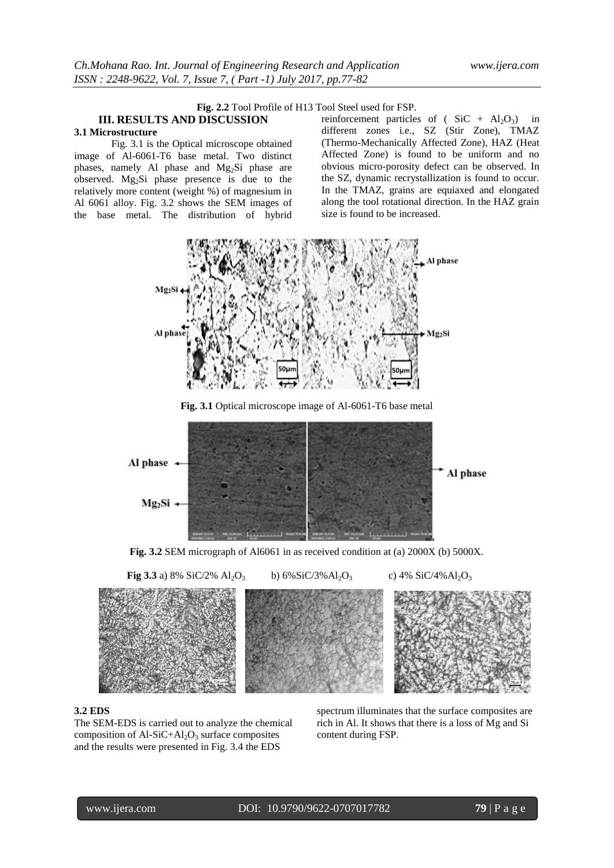# **Fig. 2.2** Tool Profile of H13 Tool Steel used for FSP.

# **III. RESULTS AND DISCUSSION 3.1 Microstructure**

Fig. 3.1 is the Optical microscope obtained image of Al-6061-T6 base metal. Two distinct phases, namely Al phase and Mg2Si phase are observed. Mg2Si phase presence is due to the relatively more content (weight %) of magnesium in Al 6061 alloy. Fig. 3.2 shows the SEM images of the base metal. The distribution of hybrid reinforcement particles of ( $SiC + Al<sub>2</sub>O<sub>3</sub>$ ) in different zones i.e., SZ (Stir Zone), TMAZ (Thermo-Mechanically Affected Zone), HAZ (Heat Affected Zone) is found to be uniform and no obvious micro-porosity defect can be observed. In the SZ, dynamic recrystallization is found to occur. In the TMAZ, grains are equiaxed and elongated along the tool rotational direction. In the HAZ grain size is found to be increased.



**Fig. 3.1** Optical microscope image of Al-6061-T6 base metal



**Fig. 3.2** SEM micrograph of Al6061 in as received condition at (a) 2000X (b) 5000X.



#### **3.2 EDS**

The SEM-EDS is carried out to analyze the chemical composition of  $AI-SiC+Al<sub>2</sub>O<sub>3</sub>$  surface composites and the results were presented in Fig. 3.4 the EDS

spectrum illuminates that the surface composites are rich in Al. It shows that there is a loss of Mg and Si content during FSP.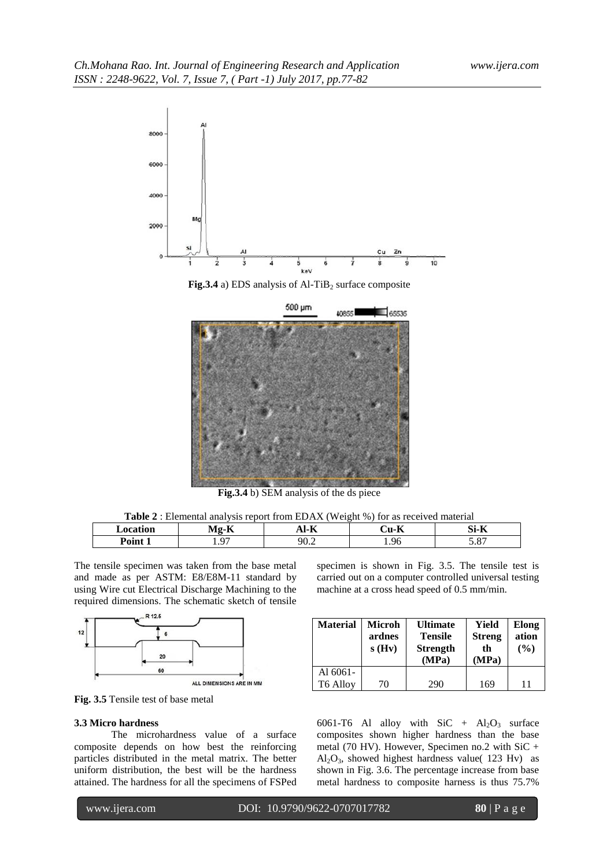



**Fig.3.4** b) SEM analysis of the ds piece

| <b>_ocation</b> | $-$<br>$-1$<br>.   | $\sim$<br>.<br>-11 | $\mathbf{r}$<br>.<br>71 | C:<br>$-$<br>∵-ان<br>. |
|-----------------|--------------------|--------------------|-------------------------|------------------------|
| Point           | $\sim$<br>. .<br>. | ۵Λ<br>$v.\angle$   | 1.96                    | $\sim$<br><u>، ن</u>   |

The tensile specimen was taken from the base metal and made as per ASTM: E8/E8M-11 standard by using Wire cut Electrical Discharge Machining to the required dimensions. The schematic sketch of tensile





#### **3.3 Micro hardness**

The microhardness value of a surface composite depends on how best the reinforcing particles distributed in the metal matrix. The better uniform distribution, the best will be the hardness attained. The hardness for all the specimens of FSPed specimen is shown in Fig. 3.5. The tensile test is carried out on a computer controlled universal testing machine at a cross head speed of 0.5 mm/min.

| <b>Material</b> | Microh<br>ardnes<br>s(Hv) | <b>Ultimate</b><br><b>Tensile</b><br><b>Strength</b><br>(MPa) | Yield<br><b>Streng</b><br>th<br>(MPa) | Elong<br>ation<br>(%) |
|-----------------|---------------------------|---------------------------------------------------------------|---------------------------------------|-----------------------|
| Al $6061-$      |                           |                                                               |                                       |                       |
| T6 Alloy        | 70                        | 290                                                           | 169                                   | 11                    |

6061-T6 Al alloy with  $SiC + Al<sub>2</sub>O<sub>3</sub>$  surface composites shown higher hardness than the base metal (70 HV). However, Specimen no.2 with SiC +  $Al_2O_3$ , showed highest hardness value( 123 Hv) as shown in Fig. 3.6. The percentage increase from base metal hardness to composite harness is thus 75.7%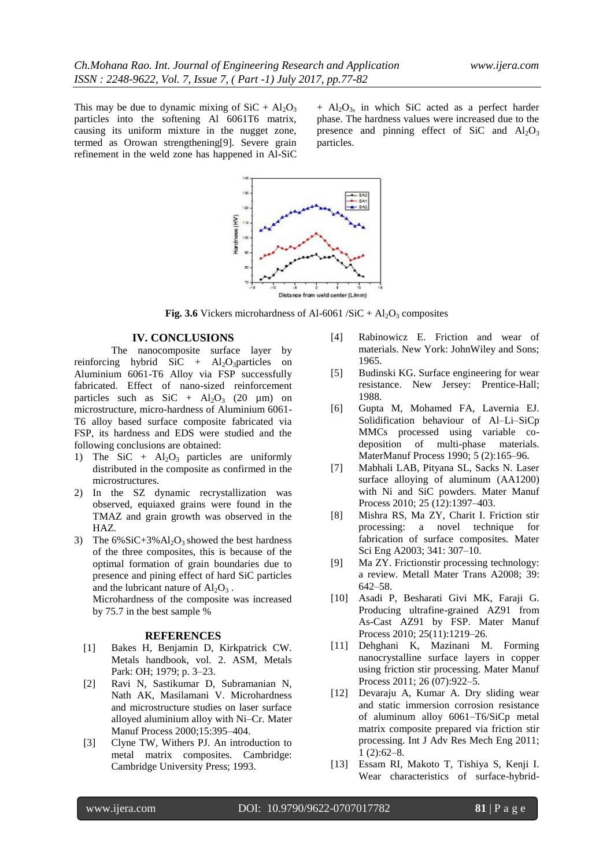This may be due to dynamic mixing of  $SiC + Al<sub>2</sub>O<sub>3</sub>$ particles into the softening Al 6061T6 matrix, causing its uniform mixture in the nugget zone, termed as Orowan strengthening[9]. Severe grain refinement in the weld zone has happened in Al-SiC

 $+$  Al<sub>2</sub>O<sub>3</sub>, in which SiC acted as a perfect harder phase. The hardness values were increased due to the presence and pinning effect of SiC and  $Al_2O_3$ particles.



**Fig. 3.6** Vickers microhardness of Al-6061 /SiC +  $Al_2O_3$  composites

# **IV. CONCLUSIONS**

The nanocomposite surface layer by reinforcing hybrid SiC + Al<sub>2</sub>O<sub>3</sub>particles on Aluminium 6061-T6 Alloy via FSP successfully fabricated. Effect of nano-sized reinforcement particles such as  $SiC + Al<sub>2</sub>O<sub>3</sub>$  (20 µm) on microstructure, micro-hardness of Aluminium 6061- T6 alloy based surface composite fabricated via FSP, its hardness and EDS were studied and the following conclusions are obtained:

- 1) The SiC +  $Al_2O_3$  particles are uniformly distributed in the composite as confirmed in the microstructures.
- 2) In the SZ dynamic recrystallization was observed, equiaxed grains were found in the TMAZ and grain growth was observed in the HAZ.
- 3) The  $6\%SiC+3\%Al<sub>2</sub>O<sub>3</sub>$  showed the best hardness of the three composites, this is because of the optimal formation of grain boundaries due to presence and pining effect of hard SiC particles and the lubricant nature of  $Al_2O_3$ .

Microhardness of the composite was increased by 75.7 in the best sample %

#### **REFERENCES**

- [1] Bakes H, Benjamin D, Kirkpatrick CW. Metals handbook, vol. 2. ASM, Metals Park: OH; 1979; p. 3–23.
- [2] Ravi N, Sastikumar D, Subramanian N, Nath AK, Masilamani V. Microhardness and microstructure studies on laser surface alloyed aluminium alloy with Ni–Cr. Mater Manuf Process 2000;15:395–404.
- [3] Clyne TW, Withers PJ. An introduction to metal matrix composites. Cambridge: Cambridge University Press; 1993.
- [4] Rabinowicz E. Friction and wear of materials. New York: JohnWiley and Sons; 1965.
- [5] Budinski KG. Surface engineering for wear resistance. New Jersey: Prentice-Hall; 1988.
- [6] Gupta M, Mohamed FA, Lavernia EJ. Solidification behaviour of Al–Li–SiCp MMCs processed using variable codeposition of multi-phase materials. MaterManuf Process 1990; 5 (2):165–96.
- [7] Mabhali LAB, Pityana SL, Sacks N. Laser surface alloying of aluminum (AA1200) with Ni and SiC powders. Mater Manuf Process 2010; 25 (12):1397–403.
- [8] Mishra RS, Ma ZY, Charit I. Friction stir processing: a novel technique for fabrication of surface composites. Mater Sci Eng A2003; 341: 307–10.
- [9] Ma ZY. Frictionstir processing technology: a review. Metall Mater Trans A2008; 39: 642–58.
- [10] Asadi P, Besharati Givi MK, Faraji G. Producing ultrafine-grained AZ91 from As-Cast AZ91 by FSP. Mater Manuf Process 2010; 25(11):1219–26.
- [11] Dehghani K, Mazinani M. Forming nanocrystalline surface layers in copper using friction stir processing. Mater Manuf Process 2011; 26 (07):922–5.
- [12] Devaraju A, Kumar A. Dry sliding wear and static immersion corrosion resistance of aluminum alloy 6061–T6/SiCp metal matrix composite prepared via friction stir processing. Int J Adv Res Mech Eng 2011; 1 (2):62–8.
- [13] Essam RI, Makoto T, Tishiya S, Kenji I. Wear characteristics of surface-hybrid-